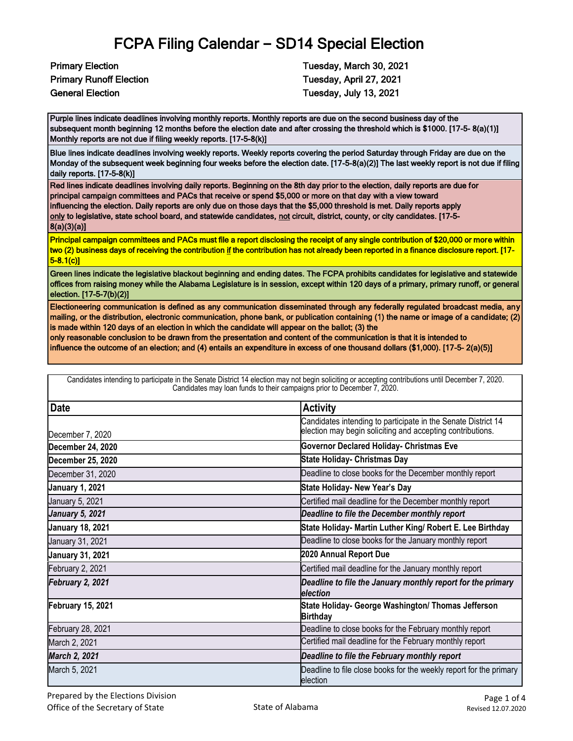Primary Runoff Election Tuesday, April 27, 2021 General Election **Tuesday, July 13, 2021** 

Primary Election **Tuesday, March 30, 2021** 

Purple lines indicate deadlines involving monthly reports. Monthly reports are due on the second business day of the subsequent month beginning 12 months before the election date and after crossing the threshold which is \$1000. [17-5- 8(a)(1)] Monthly reports are not due if filing weekly reports. [17-5-8(k)]

Blue lines indicate deadlines involving weekly reports. Weekly reports covering the period Saturday through Friday are due on the Monday of the subsequent week beginning four weeks before the election date. [17-5-8(a)(2)] The last weekly report is not due if filing daily reports. [17-5-8(k)]

Red lines indicate deadlines involving daily reports. Beginning on the 8th day prior to the election, daily reports are due for principal campaign committees and PACs that receive or spend \$5,000 or more on that day with a view toward influencing the election. Daily reports are only due on those days that the \$5,000 threshold is met. Daily reports apply only to legislative, state school board, and statewide candidates, not circuit, district, county, or city candidates. [17-5-8(a)(3)(a)]

Principal campaign committees and PACs must file a report disclosing the receipt of any single contribution of \$20,000 or more within two (2) business days of receiving the contribution if the contribution has not already been reported in a finance disclosure report. [17-5-8.1(c)]

Green lines indicate the legislative blackout beginning and ending dates. The FCPA prohibits candidates for legislative and statewide offices from raising money while the Alabama Legislature is in session, except within 120 days of a primary, primary runoff, or general election. [17-5-7(b)(2)]

Electioneering communication is defined as any communication disseminated through any federally regulated broadcast media, any mailing, or the distribution, electronic communication, phone bank, or publication containing (1) the name or image of a candidate; (2) is made within 120 days of an election in which the candidate will appear on the ballot; (3) the

Candidates intending to participate in the Senate District 14 election may not begin soliciting or accepting contributions until December 7, 2020.

only reasonable conclusion to be drawn from the presentation and content of the communication is that it is intended to

influence the outcome of an election; and (4) entails an expenditure in excess of one thousand dollars (\$1,000). [17-5- 2(a)(5)]

| Candidates may loan funds to their campaigns prior to December 7, 2020. |                                                                                                                             |  |
|-------------------------------------------------------------------------|-----------------------------------------------------------------------------------------------------------------------------|--|
| <b>Date</b>                                                             | <b>Activity</b>                                                                                                             |  |
| December 7, 2020                                                        | Candidates intending to participate in the Senate District 14<br>election may begin soliciting and accepting contributions. |  |
| <b>December 24, 2020</b>                                                | <b>Governor Declared Holiday- Christmas Eve</b>                                                                             |  |
| <b>December 25, 2020</b>                                                | <b>State Holiday- Christmas Day</b>                                                                                         |  |
| December 31, 2020                                                       | Deadline to close books for the December monthly report                                                                     |  |
| <b>January 1, 2021</b>                                                  | State Holiday- New Year's Day                                                                                               |  |
| January 5, 2021                                                         | Certified mail deadline for the December monthly report                                                                     |  |
| <b>January 5, 2021</b>                                                  | Deadline to file the December monthly report                                                                                |  |
| <b>January 18, 2021</b>                                                 | State Holiday- Martin Luther King/ Robert E. Lee Birthday                                                                   |  |
| January 31, 2021                                                        | Deadline to close books for the January monthly report                                                                      |  |
| <b>January 31, 2021</b>                                                 | 2020 Annual Report Due                                                                                                      |  |
| February 2, 2021                                                        | Certified mail deadline for the January monthly report                                                                      |  |
| February 2, 2021                                                        | Deadline to file the January monthly report for the primary<br>election                                                     |  |
| <b>February 15, 2021</b>                                                | State Holiday- George Washington/ Thomas Jefferson<br><b>Birthday</b>                                                       |  |
| February 28, 2021                                                       | Deadline to close books for the February monthly report                                                                     |  |
| March 2, 2021                                                           | Certified mail deadline for the February monthly report                                                                     |  |
| March 2, 2021                                                           | Deadline to file the February monthly report                                                                                |  |
| March 5, 2021                                                           | Deadline to file close books for the weekly report for the primary<br>election                                              |  |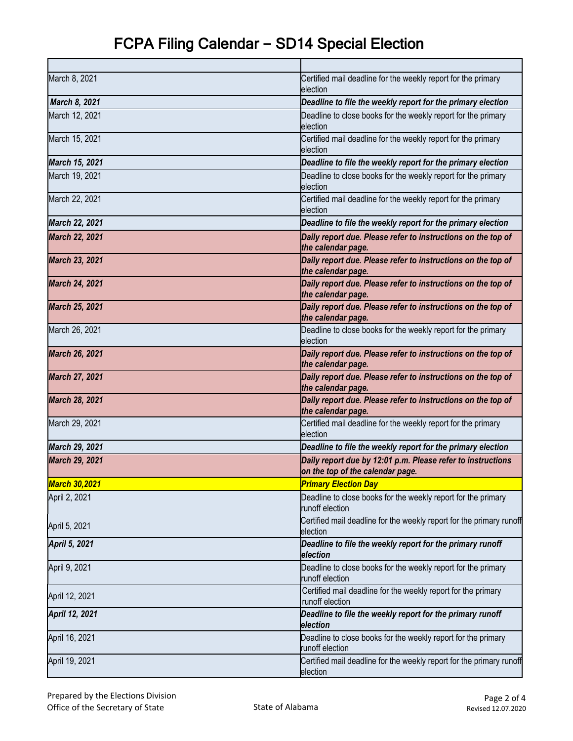| March 8, 2021         | Certified mail deadline for the weekly report for the primary<br>election                       |
|-----------------------|-------------------------------------------------------------------------------------------------|
| March 8, 2021         | Deadline to file the weekly report for the primary election                                     |
| March 12, 2021        | Deadline to close books for the weekly report for the primary<br>election                       |
| March 15, 2021        | Certified mail deadline for the weekly report for the primary<br>election                       |
| March 15, 2021        | Deadline to file the weekly report for the primary election                                     |
| March 19, 2021        | Deadline to close books for the weekly report for the primary<br>election                       |
| March 22, 2021        | Certified mail deadline for the weekly report for the primary<br>election                       |
| March 22, 2021        | Deadline to file the weekly report for the primary election                                     |
| <b>March 22, 2021</b> | Daily report due. Please refer to instructions on the top of<br>the calendar page.              |
| <b>March 23, 2021</b> | Daily report due. Please refer to instructions on the top of<br>the calendar page.              |
| <b>March 24, 2021</b> | Daily report due. Please refer to instructions on the top of<br>the calendar page.              |
| <b>March 25, 2021</b> | Daily report due. Please refer to instructions on the top of<br>the calendar page.              |
| March 26, 2021        | Deadline to close books for the weekly report for the primary<br>election                       |
| <b>March 26, 2021</b> | Daily report due. Please refer to instructions on the top of<br>the calendar page.              |
| <b>March 27, 2021</b> | Daily report due. Please refer to instructions on the top of<br>the calendar page.              |
| <b>March 28, 2021</b> | Daily report due. Please refer to instructions on the top of<br>the calendar page.              |
| March 29, 2021        | Certified mail deadline for the weekly report for the primary<br>election                       |
| March 29, 2021        | Deadline to file the weekly report for the primary election                                     |
| <b>March 29, 2021</b> | Daily report due by 12:01 p.m. Please refer to instructions<br>on the top of the calendar page. |
| <b>March 30,2021</b>  | <b>Primary Election Day</b>                                                                     |
| April 2, 2021         | Deadline to close books for the weekly report for the primary<br>runoff election                |
| April 5, 2021         | Certified mail deadline for the weekly report for the primary runoff<br>election                |
| April 5, 2021         | Deadline to file the weekly report for the primary runoff<br>election                           |
| April 9, 2021         | Deadline to close books for the weekly report for the primary<br>runoff election                |
| April 12, 2021        | Certified mail deadline for the weekly report for the primary<br>runoff election                |
| April 12, 2021        | Deadline to file the weekly report for the primary runoff<br>election                           |
| April 16, 2021        | Deadline to close books for the weekly report for the primary<br>runoff election                |
| April 19, 2021        | Certified mail deadline for the weekly report for the primary runoff<br>election                |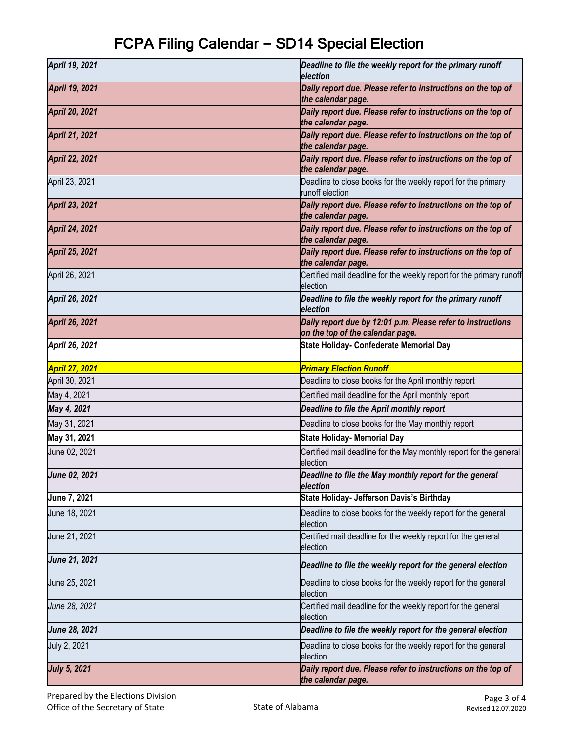| April 19, 2021        | Deadline to file the weekly report for the primary runoff<br>election                           |
|-----------------------|-------------------------------------------------------------------------------------------------|
| April 19, 2021        | Daily report due. Please refer to instructions on the top of<br>the calendar page.              |
| <b>April 20, 2021</b> | Daily report due. Please refer to instructions on the top of<br>the calendar page.              |
| <b>April 21, 2021</b> | Daily report due. Please refer to instructions on the top of<br>the calendar page.              |
| <b>April 22, 2021</b> | Daily report due. Please refer to instructions on the top of<br>the calendar page.              |
| April 23, 2021        | Deadline to close books for the weekly report for the primary<br>runoff election                |
| <b>April 23, 2021</b> | Daily report due. Please refer to instructions on the top of<br>the calendar page.              |
| <b>April 24, 2021</b> | Daily report due. Please refer to instructions on the top of<br>the calendar page.              |
| April 25, 2021        | Daily report due. Please refer to instructions on the top of<br>the calendar page.              |
| April 26, 2021        | Certified mail deadline for the weekly report for the primary runoff<br>election                |
| April 26, 2021        | Deadline to file the weekly report for the primary runoff<br>election                           |
| April 26, 2021        | Daily report due by 12:01 p.m. Please refer to instructions<br>on the top of the calendar page. |
| April 26, 2021        | State Holiday- Confederate Memorial Day                                                         |
| <b>April 27, 2021</b> | <b>Primary Election Runoff</b>                                                                  |
| April 30, 2021        | Deadline to close books for the April monthly report                                            |
| May 4, 2021           | Certified mail deadline for the April monthly report                                            |
| May 4, 2021           | Deadline to file the April monthly report                                                       |
| May 31, 2021          | Deadline to close books for the May monthly report                                              |
| May 31, 2021          | <b>State Holiday- Memorial Day</b>                                                              |
| June 02, 2021         | Certified mail deadline for the May monthly report for the general<br>election                  |
| June 02, 2021         | Deadline to file the May monthly report for the general<br>election                             |
| June 7, 2021          | State Holiday- Jefferson Davis's Birthday                                                       |
| June 18, 2021         | Deadline to close books for the weekly report for the general<br>election                       |
| June 21, 2021         | Certified mail deadline for the weekly report for the general<br>election                       |
| June 21, 2021         | Deadline to file the weekly report for the general election                                     |
| June 25, 2021         | Deadline to close books for the weekly report for the general<br>election                       |
| June 28, 2021         | Certified mail deadline for the weekly report for the general<br>election                       |
| June 28, 2021         | Deadline to file the weekly report for the general election                                     |
| July 2, 2021          | Deadline to close books for the weekly report for the general<br>election                       |
| <b>July 5, 2021</b>   | Daily report due. Please refer to instructions on the top of<br>the calendar page.              |